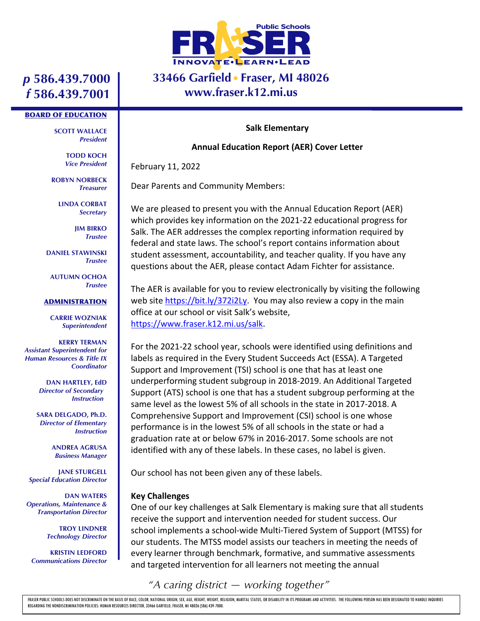

### **33466 Garfield Fraser, MI 48026 www.fraser.k12.mi.us**

## *p* **586.439.7000** *f* **586.439.7001**

#### BOARD OF EDUCATION

**SCOTT WALLACE** *President*

> **TODD KOCH** *Vice President*

**ROBYN NORBECK** *Treasurer*

> **LINDA CORBAT** *Secretary*

> > **JIM BIRKO** *Trustee*

**DANIEL STAWINSKI** *Trustee*

**AUTUMN OCHOA** *Trustee*

#### **ADMINISTRATION**

**CARRIE WOZNIAK** *Superintendent*

**KERRY TERMAN** *Assistant Superintendent for Human Resources & Title IX Coordinator*

> **DAN HARTLEY, EdD** *Director of Secondary Instruction*

**SARA DELGADO, Ph.D.** *Director of Elementary Instruction*

> **ANDREA AGRUSA** *Business Manager*

**JANE STURGELL** *Special Education Director*

**DAN WATERS** *Operations, Maintenance & Transportation Director*

> **TROY LINDNER** *Technology Director*

**KRISTIN LEDFORD** *Communications Director*

#### **Salk Elementary**

#### **Annual Education Report (AER) Cover Letter**

February 11, 2022

Dear Parents and Community Members:

We are pleased to present you with the Annual Education Report (AER) which provides key information on the 2021-22 educational progress for Salk. The AER addresses the complex reporting information required by federal and state laws. The school's report contains information about student assessment, accountability, and teacher quality. If you have any questions about the AER, please contact Adam Fichter for assistance.

The AER is available for you to review electronically by visiting the following web site https://bit.ly/372i2Ly. You may also review a copy in the main office at our school or visit Salk's website, https://www.fraser.k12.mi.us/salk.

For the 2021-22 school year, schools were identified using definitions and labels as required in the Every Student Succeeds Act (ESSA). A Targeted Support and Improvement (TSI) school is one that has at least one underperforming student subgroup in 2018-2019. An Additional Targeted Support (ATS) school is one that has a student subgroup performing at the same level as the lowest 5% of all schools in the state in 2017-2018. A Comprehensive Support and Improvement (CSI) school is one whose performance is in the lowest 5% of all schools in the state or had a graduation rate at or below 67% in 2016-2017. Some schools are not identified with any of these labels. In these cases, no label is given.

Our school has not been given any of these labels.

### **Key Challenges**

One of our key challenges at Salk Elementary is making sure that all students receive the support and intervention needed for student success. Our school implements a school-wide Multi-Tiered System of Support (MTSS) for our students. The MTSS model assists our teachers in meeting the needs of every learner through benchmark, formative, and summative assessments and targeted intervention for all learners not meeting the annual

# *"A caring district — working together"*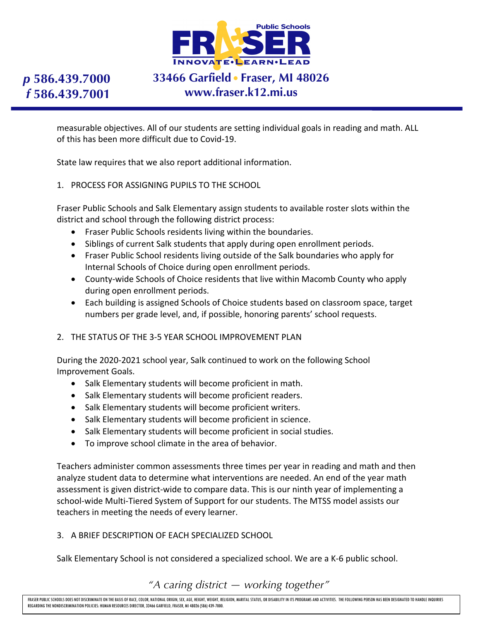

# **33466 Garfield Fraser, MI 48026 www.fraser.k12.mi.us**

measurable objectives. All of our students are setting individual goals in reading and math. ALL of this has been more difficult due to Covid-19.

State law requires that we also report additional information.

1. PROCESS FOR ASSIGNING PUPILS TO THE SCHOOL

Fraser Public Schools and Salk Elementary assign students to available roster slots within the district and school through the following district process:

- Fraser Public Schools residents living within the boundaries.
- Siblings of current Salk students that apply during open enrollment periods.
- Fraser Public School residents living outside of the Salk boundaries who apply for Internal Schools of Choice during open enrollment periods.
- County-wide Schools of Choice residents that live within Macomb County who apply during open enrollment periods.
- Each building is assigned Schools of Choice students based on classroom space, target numbers per grade level, and, if possible, honoring parents' school requests.
- 2. THE STATUS OF THE 3-5 YEAR SCHOOL IMPROVEMENT PLAN

During the 2020-2021 school year, Salk continued to work on the following School Improvement Goals.

- Salk Elementary students will become proficient in math.
- Salk Elementary students will become proficient readers.
- Salk Elementary students will become proficient writers.
- Salk Elementary students will become proficient in science.
- Salk Elementary students will become proficient in social studies.
- To improve school climate in the area of behavior.

Teachers administer common assessments three times per year in reading and math and then analyze student data to determine what interventions are needed. An end of the year math assessment is given district-wide to compare data. This is our ninth year of implementing a school-wide Multi-Tiered System of Support for our students. The MTSS model assists our teachers in meeting the needs of every learner.

### 3. A BRIEF DESCRIPTION OF EACH SPECIALIZED SCHOOL

Salk Elementary School is not considered a specialized school. We are a K-6 public school.

### *"A caring district — working together"*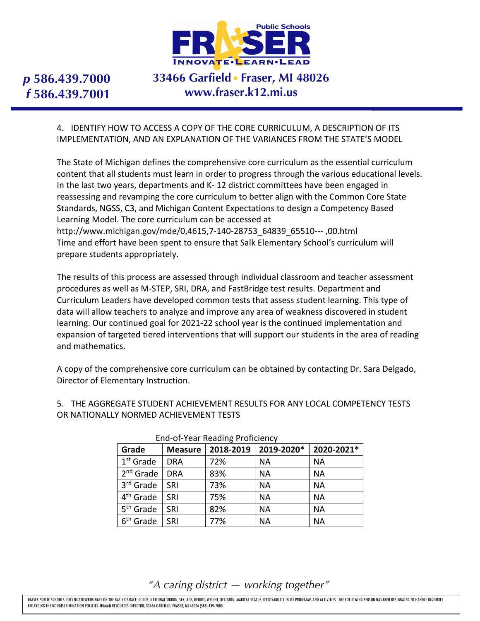

# **33466 Garfield Fraser, MI 48026 www.fraser.k12.mi.us**

4. IDENTIFY HOW TO ACCESS A COPY OF THE CORE CURRICULUM, A DESCRIPTION OF ITS IMPLEMENTATION, AND AN EXPLANATION OF THE VARIANCES FROM THE STATE'S MODEL

The State of Michigan defines the comprehensive core curriculum as the essential curriculum content that all students must learn in order to progress through the various educational levels. In the last two years, departments and K- 12 district committees have been engaged in reassessing and revamping the core curriculum to better align with the Common Core State Standards, NGSS, C3, and Michigan Content Expectations to design a Competency Based Learning Model. The core curriculum can be accessed at http://www.michigan.gov/mde/0,4615,7-140-28753\_64839\_65510--- ,00.html Time and effort have been spent to ensure that Salk Elementary School's curriculum will prepare students appropriately.

The results of this process are assessed through individual classroom and teacher assessment procedures as well as M-STEP, SRI, DRA, and FastBridge test results. Department and Curriculum Leaders have developed common tests that assess student learning. This type of data will allow teachers to analyze and improve any area of weakness discovered in student learning. Our continued goal for 2021-22 school year is the continued implementation and expansion of targeted tiered interventions that will support our students in the area of reading and mathematics.

A copy of the comprehensive core curriculum can be obtained by contacting Dr. Sara Delgado, Director of Elementary Instruction.

5. THE AGGREGATE STUDENT ACHIEVEMENT RESULTS FOR ANY LOCAL COMPETENCY TESTS OR NATIONALLY NORMED ACHIEVEMENT TESTS

| <b>ETTA OF FOUR ROOMING FRONCHCITCY</b> |                |           |            |            |  |  |
|-----------------------------------------|----------------|-----------|------------|------------|--|--|
| Grade                                   | <b>Measure</b> | 2018-2019 | 2019-2020* | 2020-2021* |  |  |
| 1 <sup>st</sup> Grade                   | <b>DRA</b>     | 72%       | NА         | <b>NA</b>  |  |  |
| 2 <sup>nd</sup> Grade                   | <b>DRA</b>     | 83%       | <b>NA</b>  | <b>NA</b>  |  |  |
| 3 <sup>rd</sup> Grade                   | <b>SRI</b>     | 73%       | <b>NA</b>  | <b>NA</b>  |  |  |
| 4 <sup>th</sup> Grade                   | SRI            | 75%       | <b>NA</b>  | <b>NA</b>  |  |  |
| 5 <sup>th</sup> Grade                   | SRI            | 82%       | <b>NA</b>  | <b>NA</b>  |  |  |
| 6 <sup>th</sup> Grade                   | SRI            | 77%       | <b>NA</b>  | <b>NA</b>  |  |  |

#### End-of-Year Reading Proficiency

*"A caring district — working together"*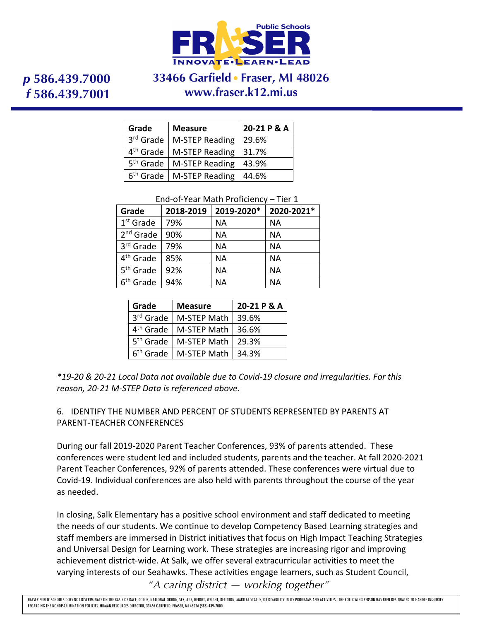

## **33466 Garfield Fraser, MI 48026 www.fraser.k12.mi.us**

| Grade                 | <b>Measure</b>        | 20-21 P & A |  |  |
|-----------------------|-----------------------|-------------|--|--|
| 3rd Grade             | M-STEP Reading        | 29.6%       |  |  |
| 4 <sup>th</sup> Grade | <b>M-STEP Reading</b> | 31.7%       |  |  |
| 5 <sup>th</sup> Grade | <b>M-STEP Reading</b> | 43.9%       |  |  |
| 6 <sup>th</sup> Grade | <b>M-STEP Reading</b> | 44.6%       |  |  |

End-of-Year Math Proficiency – Tier 1

| Grade                 | 2018-2019 | 2019-2020* | 2020-2021* |
|-----------------------|-----------|------------|------------|
| $1st$ Grade           | 79%       | NА         | NА         |
| $2nd$ Grade           | 90%       | <b>NA</b>  | <b>NA</b>  |
| 3rd Grade             | 79%       | <b>NA</b>  | <b>NA</b>  |
| 4 <sup>th</sup> Grade | 85%       | <b>NA</b>  | <b>NA</b>  |
| 5 <sup>th</sup> Grade | 92%       | <b>NA</b>  | <b>NA</b>  |
| 6 <sup>th</sup> Grade | 94%       | <b>NA</b>  | <b>NA</b>  |

| Grade                 | <b>Measure</b> | 20-21 P & A |
|-----------------------|----------------|-------------|
| 3rd Grade             | M-STEP Math    | 39.6%       |
| 4 <sup>th</sup> Grade | M-STEP Math    | 36.6%       |
| 5 <sup>th</sup> Grade | M-STEP Math    | 29.3%       |
| 6 <sup>th</sup> Grade | M-STEP Math    | 34.3%       |

*\*19-20 & 20-21 Local Data not available due to Covid-19 closure and irregularities. For this reason, 20-21 M-STEP Data is referenced above.*

6. IDENTIFY THE NUMBER AND PERCENT OF STUDENTS REPRESENTED BY PARENTS AT PARENT-TEACHER CONFERENCES

During our fall 2019-2020 Parent Teacher Conferences, 93% of parents attended. These conferences were student led and included students, parents and the teacher. At fall 2020-2021 Parent Teacher Conferences, 92% of parents attended. These conferences were virtual due to Covid-19. Individual conferences are also held with parents throughout the course of the year as needed.

*"A caring district — working together"* In closing, Salk Elementary has a positive school environment and staff dedicated to meeting the needs of our students. We continue to develop Competency Based Learning strategies and staff members are immersed in District initiatives that focus on High Impact Teaching Strategies and Universal Design for Learning work. These strategies are increasing rigor and improving achievement district-wide. At Salk, we offer several extracurricular activities to meet the varying interests of our Seahawks. These activities engage learners, such as Student Council,